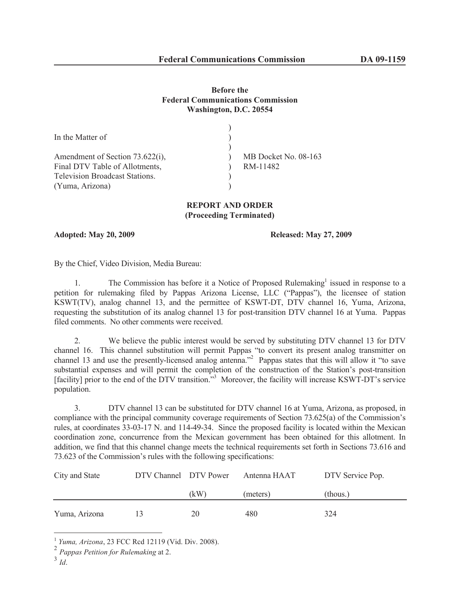## **Before the Federal Communications Commission Washington, D.C. 20554**

| In the Matter of                      |                      |
|---------------------------------------|----------------------|
| Amendment of Section 73.622(i),       | MB Docket No. 08-163 |
| Final DTV Table of Allotments,        | RM-11482             |
| <b>Television Broadcast Stations.</b> |                      |
| (Yuma, Arizona)                       |                      |

## **REPORT AND ORDER (Proceeding Terminated)**

**Adopted: May 20, 2009 Released: May 27, 2009**

By the Chief, Video Division, Media Bureau:

1. The Commission has before it a Notice of Proposed Rulemaking<sup>1</sup> issued in response to a petition for rulemaking filed by Pappas Arizona License, LLC ("Pappas"), the licensee of station KSWT(TV), analog channel 13, and the permittee of KSWT-DT, DTV channel 16, Yuma, Arizona, requesting the substitution of its analog channel 13 for post-transition DTV channel 16 at Yuma. Pappas filed comments. No other comments were received.

2. We believe the public interest would be served by substituting DTV channel 13 for DTV channel 16. This channel substitution will permit Pappas "to convert its present analog transmitter on channel 13 and use the presently-licensed analog antenna."<sup>2</sup> Pappas states that this will allow it "to save substantial expenses and will permit the completion of the construction of the Station's post-transition [facility] prior to the end of the DTV transition.<sup>"3</sup> Moreover, the facility will increase KSWT-DT's service population.

3. DTV channel 13 can be substituted for DTV channel 16 at Yuma, Arizona, as proposed, in compliance with the principal community coverage requirements of Section 73.625(a) of the Commission's rules, at coordinates 33-03-17 N. and 114-49-34. Since the proposed facility is located within the Mexican coordination zone, concurrence from the Mexican government has been obtained for this allotment. In addition, we find that this channel change meets the technical requirements set forth in Sections 73.616 and 73.623 of the Commission's rules with the following specifications:

| City and State | DTV Channel DTV Power |      | Antenna HAAT | DTV Service Pop. |
|----------------|-----------------------|------|--------------|------------------|
|                |                       | (kW) | (meters)     | (thous.)         |
| Yuma, Arizona  | 13                    | 20   | 480          | 324              |

<sup>1</sup> *Yuma, Arizona*, 23 FCC Rcd 12119 (Vid. Div. 2008).

<sup>2</sup> *Pappas Petition for Rulemaking* at 2.